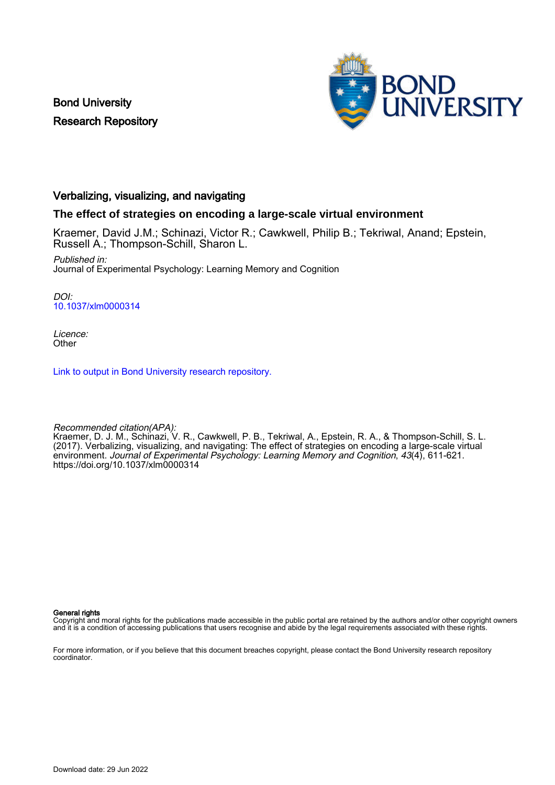Bond University Research Repository



# Verbalizing, visualizing, and navigating

## **The effect of strategies on encoding a large-scale virtual environment**

Kraemer, David J.M.; Schinazi, Victor R.; Cawkwell, Philip B.; Tekriwal, Anand; Epstein, Russell A.; Thompson-Schill, Sharon L.

Published in: Journal of Experimental Psychology: Learning Memory and Cognition

DOI: [10.1037/xlm0000314](https://doi.org/10.1037/xlm0000314)

Licence: **Other** 

[Link to output in Bond University research repository.](https://research.bond.edu.au/en/publications/86285362-7255-4c48-b156-a2ed14498c36)

Recommended citation(APA): Kraemer, D. J. M., Schinazi, V. R., Cawkwell, P. B., Tekriwal, A., Epstein, R. A., & Thompson-Schill, S. L. (2017). Verbalizing, visualizing, and navigating: The effect of strategies on encoding a large-scale virtual environment. Journal of Experimental Psychology: Learning Memory and Cognition, 43(4), 611-621. <https://doi.org/10.1037/xlm0000314>

General rights

Copyright and moral rights for the publications made accessible in the public portal are retained by the authors and/or other copyright owners and it is a condition of accessing publications that users recognise and abide by the legal requirements associated with these rights.

For more information, or if you believe that this document breaches copyright, please contact the Bond University research repository coordinator.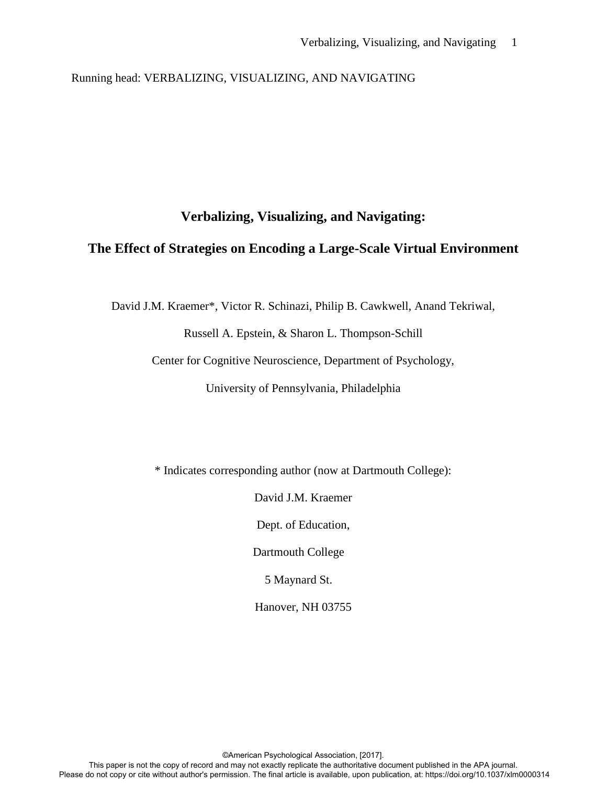Running head: VERBALIZING, VISUALIZING, AND NAVIGATING

# **Verbalizing, Visualizing, and Navigating:**

# **The Effect of Strategies on Encoding a Large-Scale Virtual Environment**

David J.M. Kraemer\*, Victor R. Schinazi, Philip B. Cawkwell, Anand Tekriwal,

Russell A. Epstein, & Sharon L. Thompson-Schill

Center for Cognitive Neuroscience, Department of Psychology,

University of Pennsylvania, Philadelphia

\* Indicates corresponding author (now at Dartmouth College):

David J.M. Kraemer

Dept. of Education,

Dartmouth College

5 Maynard St.

Hanover, NH 03755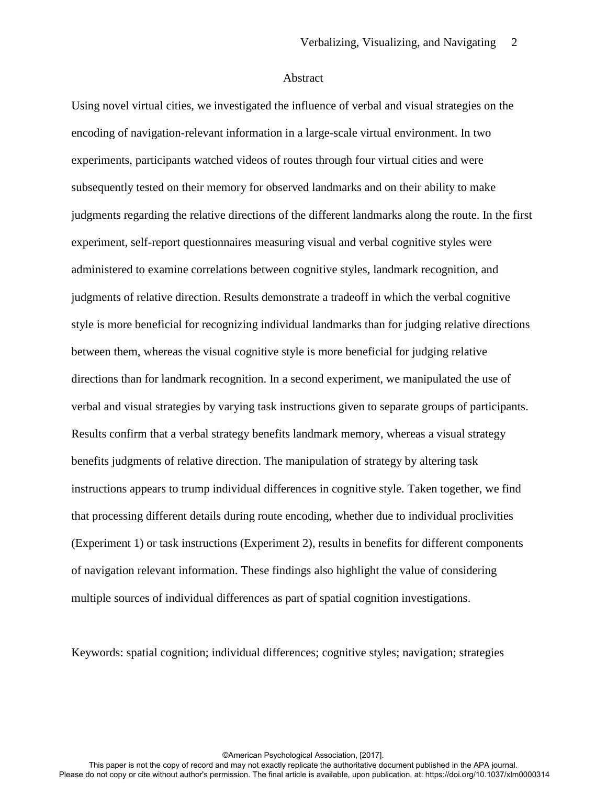#### Abstract

Using novel virtual cities, we investigated the influence of verbal and visual strategies on the encoding of navigation-relevant information in a large-scale virtual environment. In two experiments, participants watched videos of routes through four virtual cities and were subsequently tested on their memory for observed landmarks and on their ability to make judgments regarding the relative directions of the different landmarks along the route. In the first experiment, self-report questionnaires measuring visual and verbal cognitive styles were administered to examine correlations between cognitive styles, landmark recognition, and judgments of relative direction. Results demonstrate a tradeoff in which the verbal cognitive style is more beneficial for recognizing individual landmarks than for judging relative directions between them, whereas the visual cognitive style is more beneficial for judging relative directions than for landmark recognition. In a second experiment, we manipulated the use of verbal and visual strategies by varying task instructions given to separate groups of participants. Results confirm that a verbal strategy benefits landmark memory, whereas a visual strategy benefits judgments of relative direction. The manipulation of strategy by altering task instructions appears to trump individual differences in cognitive style. Taken together, we find that processing different details during route encoding, whether due to individual proclivities (Experiment 1) or task instructions (Experiment 2), results in benefits for different components of navigation relevant information. These findings also highlight the value of considering multiple sources of individual differences as part of spatial cognition investigations.

Keywords: spatial cognition; individual differences; cognitive styles; navigation; strategies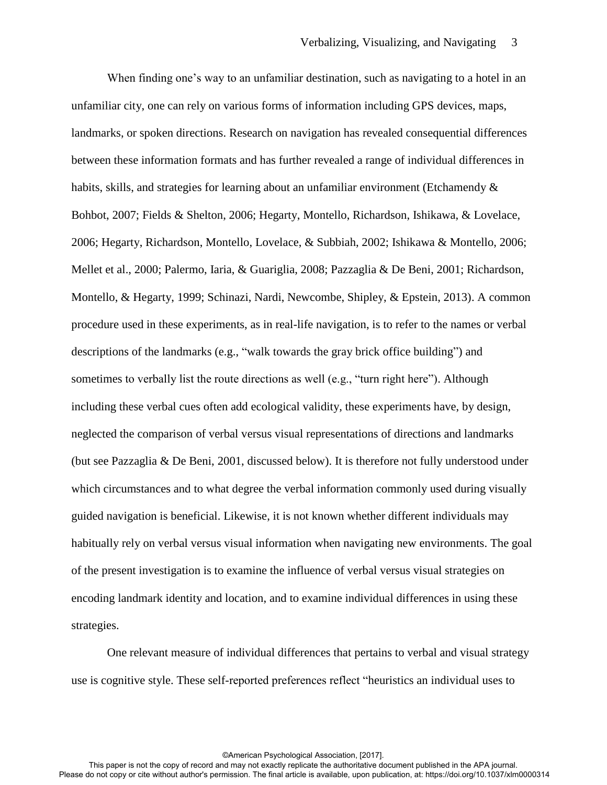When finding one's way to an unfamiliar destination, such as navigating to a hotel in an unfamiliar city, one can rely on various forms of information including GPS devices, maps, landmarks, or spoken directions. Research on navigation has revealed consequential differences between these information formats and has further revealed a range of individual differences in habits, skills, and strategies for learning about an unfamiliar environment (Etchamendy  $\&$ Bohbot, 2007; Fields & Shelton, 2006; Hegarty, Montello, Richardson, Ishikawa, & Lovelace, 2006; Hegarty, Richardson, Montello, Lovelace, & Subbiah, 2002; Ishikawa & Montello, 2006; Mellet et al., 2000; Palermo, Iaria, & Guariglia, 2008; Pazzaglia & De Beni, 2001; Richardson, Montello, & Hegarty, 1999; Schinazi, Nardi, Newcombe, Shipley, & Epstein, 2013). A common procedure used in these experiments, as in real-life navigation, is to refer to the names or verbal descriptions of the landmarks (e.g., "walk towards the gray brick office building") and sometimes to verbally list the route directions as well (e.g., "turn right here"). Although including these verbal cues often add ecological validity, these experiments have, by design, neglected the comparison of verbal versus visual representations of directions and landmarks (but see Pazzaglia & De Beni, 2001, discussed below). It is therefore not fully understood under which circumstances and to what degree the verbal information commonly used during visually guided navigation is beneficial. Likewise, it is not known whether different individuals may habitually rely on verbal versus visual information when navigating new environments. The goal of the present investigation is to examine the influence of verbal versus visual strategies on encoding landmark identity and location, and to examine individual differences in using these strategies.

One relevant measure of individual differences that pertains to verbal and visual strategy use is cognitive style. These self-reported preferences reflect "heuristics an individual uses to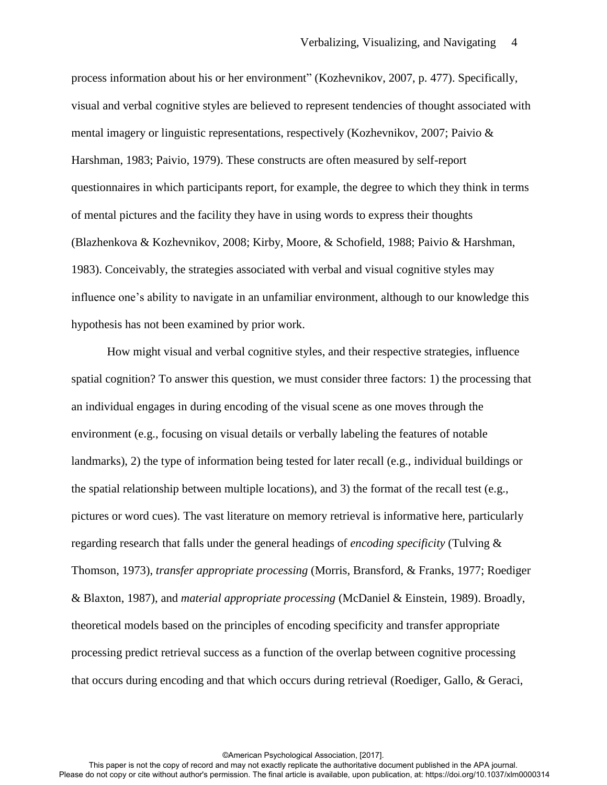process information about his or her environment" (Kozhevnikov, 2007, p. 477). Specifically, visual and verbal cognitive styles are believed to represent tendencies of thought associated with mental imagery or linguistic representations, respectively (Kozhevnikov, 2007; Paivio & Harshman, 1983; Paivio, 1979). These constructs are often measured by self-report questionnaires in which participants report, for example, the degree to which they think in terms of mental pictures and the facility they have in using words to express their thoughts (Blazhenkova & Kozhevnikov, 2008; Kirby, Moore, & Schofield, 1988; Paivio & Harshman, 1983). Conceivably, the strategies associated with verbal and visual cognitive styles may influence one's ability to navigate in an unfamiliar environment, although to our knowledge this hypothesis has not been examined by prior work.

How might visual and verbal cognitive styles, and their respective strategies, influence spatial cognition? To answer this question, we must consider three factors: 1) the processing that an individual engages in during encoding of the visual scene as one moves through the environment (e.g., focusing on visual details or verbally labeling the features of notable landmarks), 2) the type of information being tested for later recall (e.g., individual buildings or the spatial relationship between multiple locations), and 3) the format of the recall test (e.g., pictures or word cues). The vast literature on memory retrieval is informative here, particularly regarding research that falls under the general headings of *encoding specificity* (Tulving & Thomson, 1973), *transfer appropriate processing* (Morris, Bransford, & Franks, 1977; Roediger & Blaxton, 1987), and *material appropriate processing* (McDaniel & Einstein, 1989). Broadly, theoretical models based on the principles of encoding specificity and transfer appropriate processing predict retrieval success as a function of the overlap between cognitive processing that occurs during encoding and that which occurs during retrieval (Roediger, Gallo, & Geraci,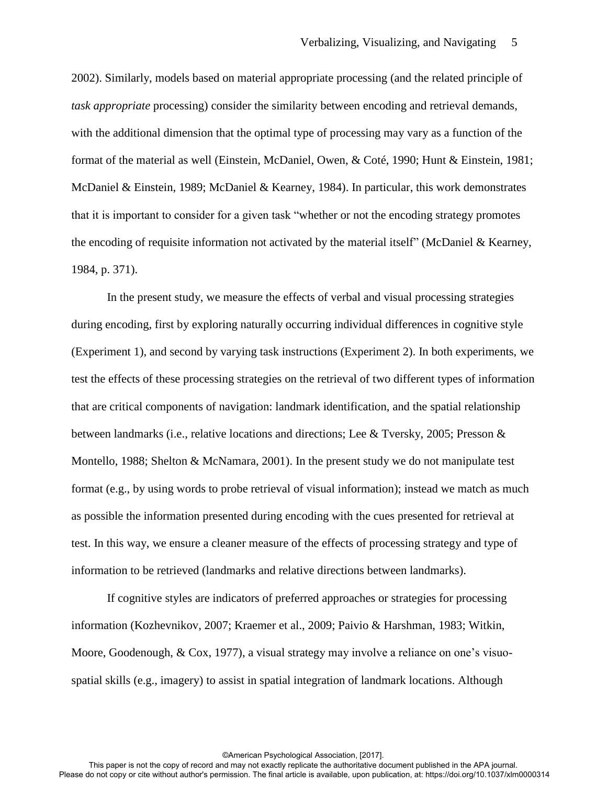2002). Similarly, models based on material appropriate processing (and the related principle of *task appropriate* processing) consider the similarity between encoding and retrieval demands, with the additional dimension that the optimal type of processing may vary as a function of the format of the material as well (Einstein, McDaniel, Owen, & Coté, 1990; Hunt & Einstein, 1981; McDaniel & Einstein, 1989; McDaniel & Kearney, 1984). In particular, this work demonstrates that it is important to consider for a given task "whether or not the encoding strategy promotes the encoding of requisite information not activated by the material itself" (McDaniel & Kearney, 1984, p. 371).

In the present study, we measure the effects of verbal and visual processing strategies during encoding, first by exploring naturally occurring individual differences in cognitive style (Experiment 1), and second by varying task instructions (Experiment 2). In both experiments, we test the effects of these processing strategies on the retrieval of two different types of information that are critical components of navigation: landmark identification, and the spatial relationship between landmarks (i.e., relative locations and directions; Lee & Tversky, 2005; Presson & Montello, 1988; Shelton & McNamara, 2001). In the present study we do not manipulate test format (e.g., by using words to probe retrieval of visual information); instead we match as much as possible the information presented during encoding with the cues presented for retrieval at test. In this way, we ensure a cleaner measure of the effects of processing strategy and type of information to be retrieved (landmarks and relative directions between landmarks).

If cognitive styles are indicators of preferred approaches or strategies for processing information (Kozhevnikov, 2007; Kraemer et al., 2009; Paivio & Harshman, 1983; Witkin, Moore, Goodenough, & Cox, 1977), a visual strategy may involve a reliance on one's visuospatial skills (e.g., imagery) to assist in spatial integration of landmark locations. Although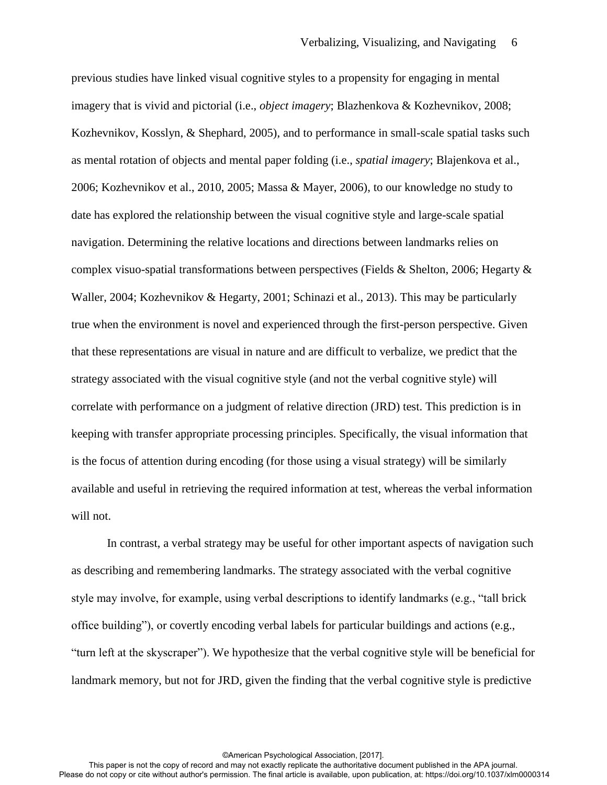previous studies have linked visual cognitive styles to a propensity for engaging in mental imagery that is vivid and pictorial (i.e., *object imagery*; Blazhenkova & Kozhevnikov, 2008; Kozhevnikov, Kosslyn, & Shephard, 2005), and to performance in small-scale spatial tasks such as mental rotation of objects and mental paper folding (i.e., *spatial imagery*; Blajenkova et al., 2006; Kozhevnikov et al., 2010, 2005; Massa & Mayer, 2006), to our knowledge no study to date has explored the relationship between the visual cognitive style and large-scale spatial navigation. Determining the relative locations and directions between landmarks relies on complex visuo-spatial transformations between perspectives (Fields & Shelton, 2006; Hegarty  $\&$ Waller, 2004; Kozhevnikov & Hegarty, 2001; Schinazi et al., 2013). This may be particularly true when the environment is novel and experienced through the first-person perspective. Given that these representations are visual in nature and are difficult to verbalize, we predict that the strategy associated with the visual cognitive style (and not the verbal cognitive style) will correlate with performance on a judgment of relative direction (JRD) test. This prediction is in keeping with transfer appropriate processing principles. Specifically, the visual information that is the focus of attention during encoding (for those using a visual strategy) will be similarly available and useful in retrieving the required information at test, whereas the verbal information will not.

In contrast, a verbal strategy may be useful for other important aspects of navigation such as describing and remembering landmarks. The strategy associated with the verbal cognitive style may involve, for example, using verbal descriptions to identify landmarks (e.g., "tall brick office building"), or covertly encoding verbal labels for particular buildings and actions (e.g., "turn left at the skyscraper"). We hypothesize that the verbal cognitive style will be beneficial for landmark memory, but not for JRD, given the finding that the verbal cognitive style is predictive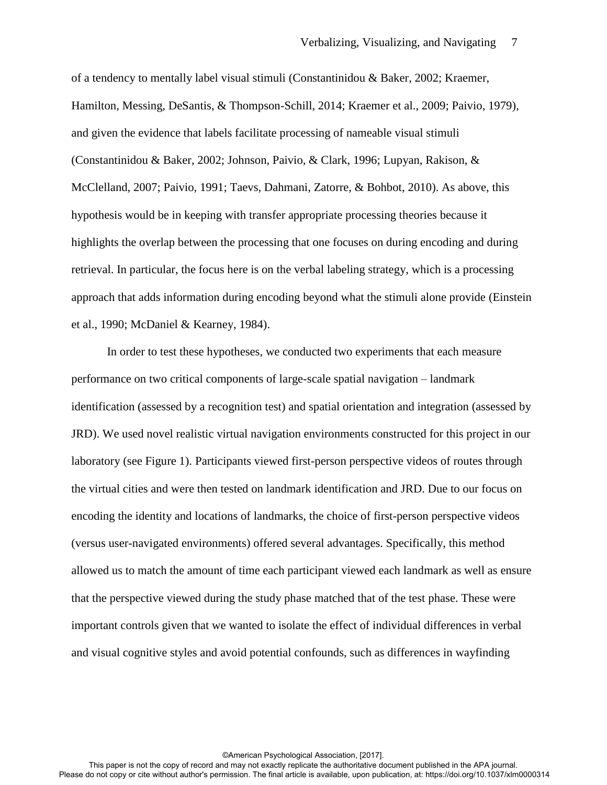of a tendency to mentally label visual stimuli (Constantinidou & Baker, 2002; Kraemer, Hamilton, Messing, DeSantis, & Thompson-Schill, 2014; Kraemer et al., 2009; Paivio, 1979), and given the evidence that labels facilitate processing of nameable visual stimuli (Constantinidou & Baker, 2002; Johnson, Paivio, & Clark, 1996; Lupyan, Rakison, & McClelland, 2007; Paivio, 1991; Taevs, Dahmani, Zatorre, & Bohbot, 2010). As above, this hypothesis would be in keeping with transfer appropriate processing theories because it highlights the overlap between the processing that one focuses on during encoding and during retrieval. In particular, the focus here is on the verbal labeling strategy, which is a processing approach that adds information during encoding beyond what the stimuli alone provide (Einstein et al., 1990; McDaniel & Kearney, 1984).

In order to test these hypotheses, we conducted two experiments that each measure performance on two critical components of large-scale spatial navigation – landmark identification (assessed by a recognition test) and spatial orientation and integration (assessed by JRD). We used novel realistic virtual navigation environments constructed for this project in our laboratory (see Figure 1). Participants viewed first-person perspective videos of routes through the virtual cities and were then tested on landmark identification and JRD. Due to our focus on encoding the identity and locations of landmarks, the choice of first-person perspective videos (versus user-navigated environments) offered several advantages. Specifically, this method allowed us to match the amount of time each participant viewed each landmark as well as ensure that the perspective viewed during the study phase matched that of the test phase. These were important controls given that we wanted to isolate the effect of individual differences in verbal and visual cognitive styles and avoid potential confounds, such as differences in wayfinding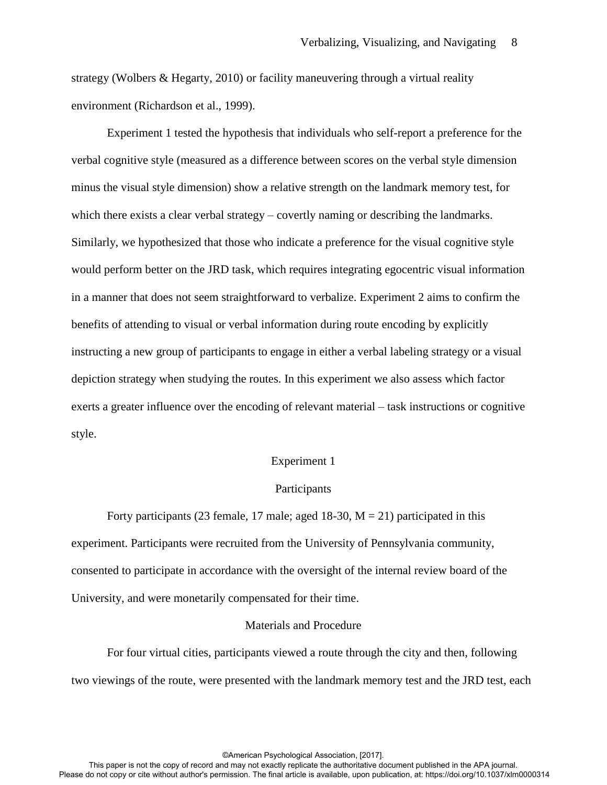strategy (Wolbers & Hegarty, 2010) or facility maneuvering through a virtual reality environment (Richardson et al., 1999).

Experiment 1 tested the hypothesis that individuals who self-report a preference for the verbal cognitive style (measured as a difference between scores on the verbal style dimension minus the visual style dimension) show a relative strength on the landmark memory test, for which there exists a clear verbal strategy – covertly naming or describing the landmarks. Similarly, we hypothesized that those who indicate a preference for the visual cognitive style would perform better on the JRD task, which requires integrating egocentric visual information in a manner that does not seem straightforward to verbalize. Experiment 2 aims to confirm the benefits of attending to visual or verbal information during route encoding by explicitly instructing a new group of participants to engage in either a verbal labeling strategy or a visual depiction strategy when studying the routes. In this experiment we also assess which factor exerts a greater influence over the encoding of relevant material – task instructions or cognitive style.

#### Experiment 1

## Participants

Forty participants (23 female, 17 male; aged 18-30,  $M = 21$ ) participated in this experiment. Participants were recruited from the University of Pennsylvania community, consented to participate in accordance with the oversight of the internal review board of the University, and were monetarily compensated for their time.

#### Materials and Procedure

For four virtual cities, participants viewed a route through the city and then, following two viewings of the route, were presented with the landmark memory test and the JRD test, each

This paper is not the copy of record and may not exactly replicate the authoritative document published in the APA journal. Please do not copy or cite without author's permission. The final article is available, upon publication, at: https://doi.org/10.1037/xlm0000314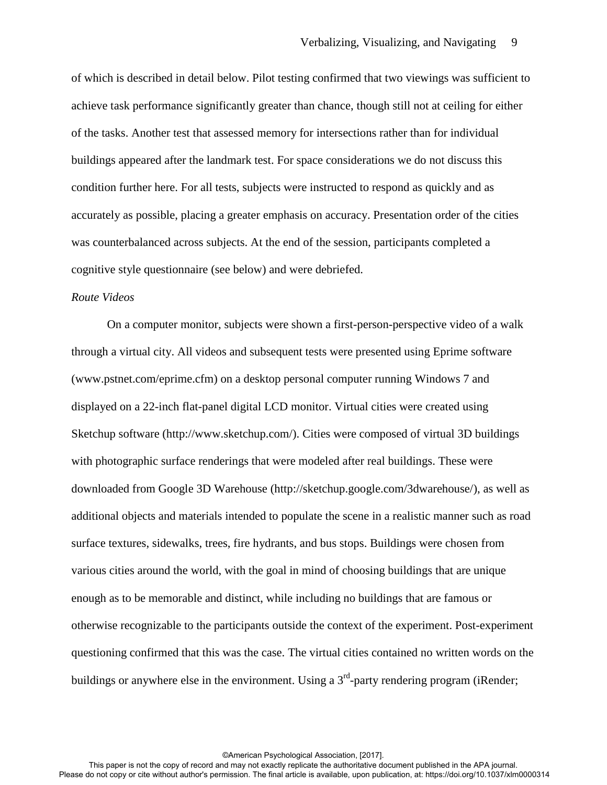of which is described in detail below. Pilot testing confirmed that two viewings was sufficient to achieve task performance significantly greater than chance, though still not at ceiling for either of the tasks. Another test that assessed memory for intersections rather than for individual buildings appeared after the landmark test. For space considerations we do not discuss this condition further here. For all tests, subjects were instructed to respond as quickly and as accurately as possible, placing a greater emphasis on accuracy. Presentation order of the cities was counterbalanced across subjects. At the end of the session, participants completed a cognitive style questionnaire (see below) and were debriefed.

## *Route Videos*

On a computer monitor, subjects were shown a first-person-perspective video of a walk through a virtual city. All videos and subsequent tests were presented using Eprime software (www.pstnet.com/eprime.cfm) on a desktop personal computer running Windows 7 and displayed on a 22-inch flat-panel digital LCD monitor. Virtual cities were created using Sketchup software (http://www.sketchup.com/). Cities were composed of virtual 3D buildings with photographic surface renderings that were modeled after real buildings. These were downloaded from Google 3D Warehouse (http://sketchup.google.com/3dwarehouse/), as well as additional objects and materials intended to populate the scene in a realistic manner such as road surface textures, sidewalks, trees, fire hydrants, and bus stops. Buildings were chosen from various cities around the world, with the goal in mind of choosing buildings that are unique enough as to be memorable and distinct, while including no buildings that are famous or otherwise recognizable to the participants outside the context of the experiment. Post-experiment questioning confirmed that this was the case. The virtual cities contained no written words on the buildings or anywhere else in the environment. Using a  $3<sup>rd</sup>$ -party rendering program (iRender;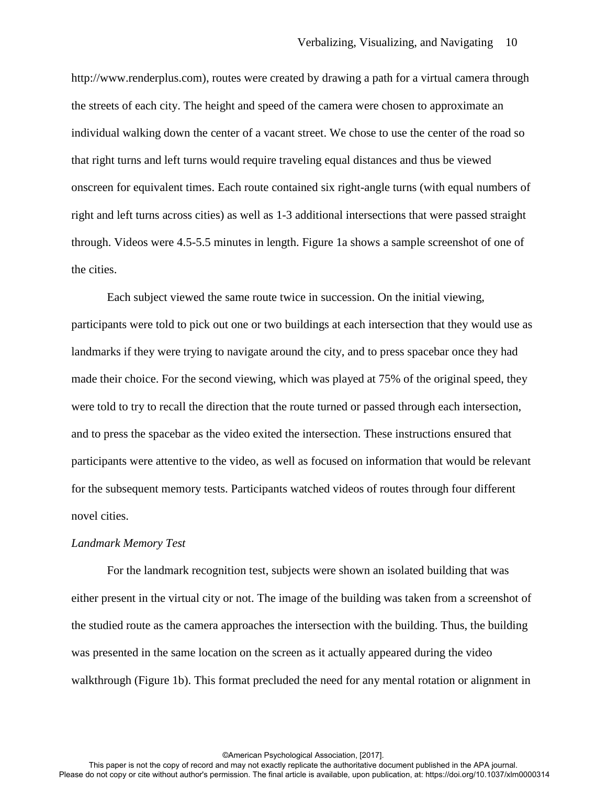http://www.renderplus.com), routes were created by drawing a path for a virtual camera through the streets of each city. The height and speed of the camera were chosen to approximate an individual walking down the center of a vacant street. We chose to use the center of the road so that right turns and left turns would require traveling equal distances and thus be viewed onscreen for equivalent times. Each route contained six right-angle turns (with equal numbers of right and left turns across cities) as well as 1-3 additional intersections that were passed straight through. Videos were 4.5-5.5 minutes in length. Figure 1a shows a sample screenshot of one of the cities.

Each subject viewed the same route twice in succession. On the initial viewing, participants were told to pick out one or two buildings at each intersection that they would use as landmarks if they were trying to navigate around the city, and to press spacebar once they had made their choice. For the second viewing, which was played at 75% of the original speed, they were told to try to recall the direction that the route turned or passed through each intersection, and to press the spacebar as the video exited the intersection. These instructions ensured that participants were attentive to the video, as well as focused on information that would be relevant for the subsequent memory tests. Participants watched videos of routes through four different novel cities.

#### *Landmark Memory Test*

For the landmark recognition test, subjects were shown an isolated building that was either present in the virtual city or not. The image of the building was taken from a screenshot of the studied route as the camera approaches the intersection with the building. Thus, the building was presented in the same location on the screen as it actually appeared during the video walkthrough (Figure 1b). This format precluded the need for any mental rotation or alignment in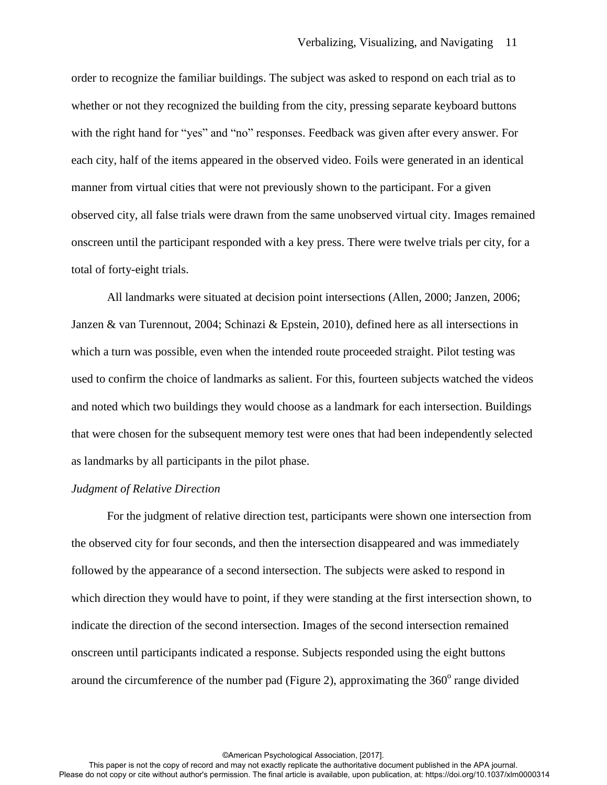order to recognize the familiar buildings. The subject was asked to respond on each trial as to whether or not they recognized the building from the city, pressing separate keyboard buttons with the right hand for "yes" and "no" responses. Feedback was given after every answer. For each city, half of the items appeared in the observed video. Foils were generated in an identical manner from virtual cities that were not previously shown to the participant. For a given observed city, all false trials were drawn from the same unobserved virtual city. Images remained onscreen until the participant responded with a key press. There were twelve trials per city, for a total of forty-eight trials.

All landmarks were situated at decision point intersections (Allen, 2000; Janzen, 2006; Janzen & van Turennout, 2004; Schinazi & Epstein, 2010), defined here as all intersections in which a turn was possible, even when the intended route proceeded straight. Pilot testing was used to confirm the choice of landmarks as salient. For this, fourteen subjects watched the videos and noted which two buildings they would choose as a landmark for each intersection. Buildings that were chosen for the subsequent memory test were ones that had been independently selected as landmarks by all participants in the pilot phase.

#### *Judgment of Relative Direction*

For the judgment of relative direction test, participants were shown one intersection from the observed city for four seconds, and then the intersection disappeared and was immediately followed by the appearance of a second intersection. The subjects were asked to respond in which direction they would have to point, if they were standing at the first intersection shown, to indicate the direction of the second intersection. Images of the second intersection remained onscreen until participants indicated a response. Subjects responded using the eight buttons around the circumference of the number pad (Figure 2), approximating the  $360^{\circ}$  range divided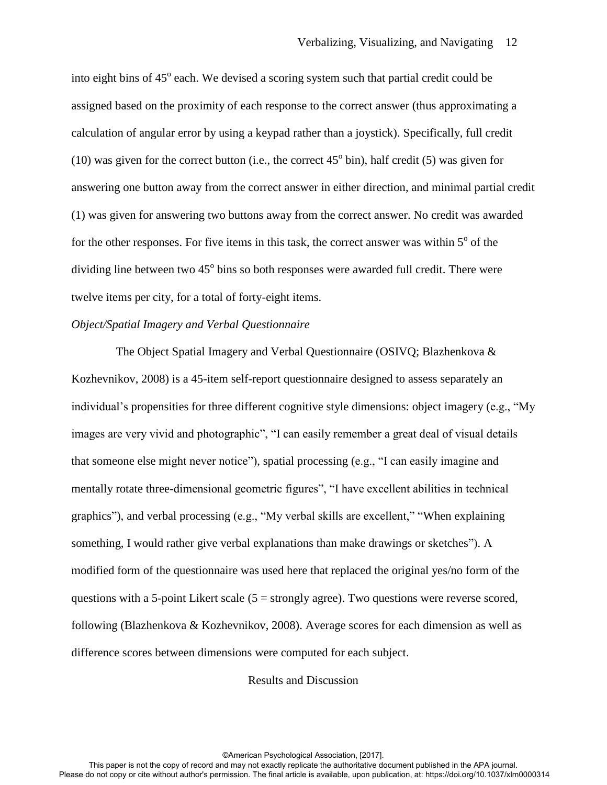into eight bins of 45° each. We devised a scoring system such that partial credit could be assigned based on the proximity of each response to the correct answer (thus approximating a calculation of angular error by using a keypad rather than a joystick). Specifically, full credit (10) was given for the correct button (i.e., the correct  $45^{\circ}$  bin), half credit (5) was given for answering one button away from the correct answer in either direction, and minimal partial credit (1) was given for answering two buttons away from the correct answer. No credit was awarded for the other responses. For five items in this task, the correct answer was within  $5^\circ$  of the dividing line between two  $45^{\circ}$  bins so both responses were awarded full credit. There were twelve items per city, for a total of forty-eight items.

## *Object/Spatial Imagery and Verbal Questionnaire*

 The Object Spatial Imagery and Verbal Questionnaire (OSIVQ; Blazhenkova & Kozhevnikov, 2008) is a 45-item self-report questionnaire designed to assess separately an individual's propensities for three different cognitive style dimensions: object imagery (e.g., "My images are very vivid and photographic", "I can easily remember a great deal of visual details that someone else might never notice"), spatial processing (e.g., "I can easily imagine and mentally rotate three-dimensional geometric figures", "I have excellent abilities in technical graphics"), and verbal processing (e.g., "My verbal skills are excellent," "When explaining something, I would rather give verbal explanations than make drawings or sketches"). A modified form of the questionnaire was used here that replaced the original yes/no form of the questions with a 5-point Likert scale  $(5 =$  strongly agree). Two questions were reverse scored, following (Blazhenkova & Kozhevnikov, 2008). Average scores for each dimension as well as difference scores between dimensions were computed for each subject.

Results and Discussion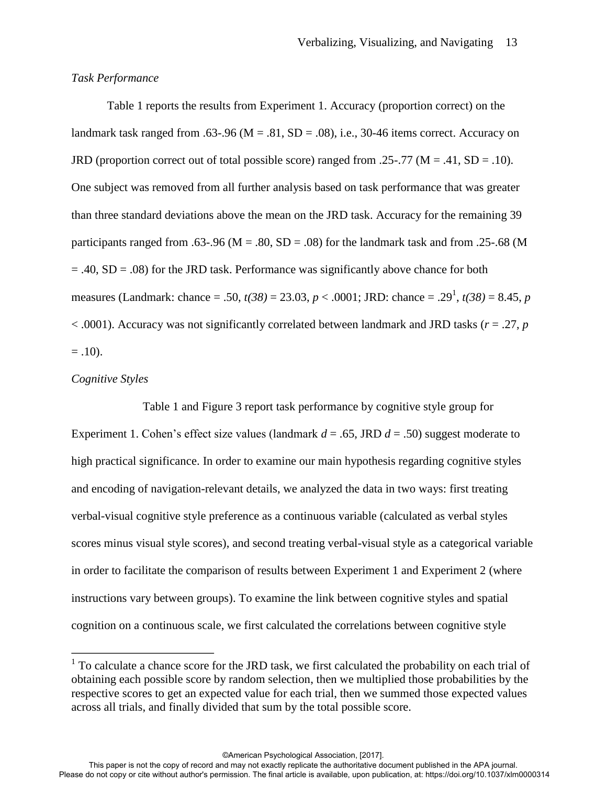## *Task Performance*

 Table 1 reports the results from Experiment 1. Accuracy (proportion correct) on the landmark task ranged from .63-.96 ( $M = .81$ ,  $SD = .08$ ), i.e., 30-46 items correct. Accuracy on JRD (proportion correct out of total possible score) ranged from .25-.77 ( $M = .41$ ,  $SD = .10$ ). One subject was removed from all further analysis based on task performance that was greater than three standard deviations above the mean on the JRD task. Accuracy for the remaining 39 participants ranged from .63-.96 ( $M = .80$ ,  $SD = .08$ ) for the landmark task and from .25-.68 (M  $= .40$ ,  $SD = .08$ ) for the JRD task. Performance was significantly above chance for both measures (Landmark: chance = .50,  $t(38) = 23.03$ ,  $p < .0001$ ; JRD: chance = .29<sup>1</sup>,  $t(38) = 8.45$ ,  $p$ < .0001). Accuracy was not significantly correlated between landmark and JRD tasks (*r* = .27, *p*  $= .10$ ).

### *Cognitive Styles*

 $\overline{a}$ 

 Table 1 and Figure 3 report task performance by cognitive style group for Experiment 1. Cohen's effect size values (landmark  $d = .65$ , JRD  $d = .50$ ) suggest moderate to high practical significance. In order to examine our main hypothesis regarding cognitive styles and encoding of navigation-relevant details, we analyzed the data in two ways: first treating verbal-visual cognitive style preference as a continuous variable (calculated as verbal styles scores minus visual style scores), and second treating verbal-visual style as a categorical variable in order to facilitate the comparison of results between Experiment 1 and Experiment 2 (where instructions vary between groups). To examine the link between cognitive styles and spatial cognition on a continuous scale, we first calculated the correlations between cognitive style

<sup>&</sup>lt;sup>1</sup> To calculate a chance score for the JRD task, we first calculated the probability on each trial of obtaining each possible score by random selection, then we multiplied those probabilities by the respective scores to get an expected value for each trial, then we summed those expected values across all trials, and finally divided that sum by the total possible score.

This paper is not the copy of record and may not exactly replicate the authoritative document published in the APA journal. Please do not copy or cite without author's permission. The final article is available, upon publication, at: https://doi.org/10.1037/xlm0000314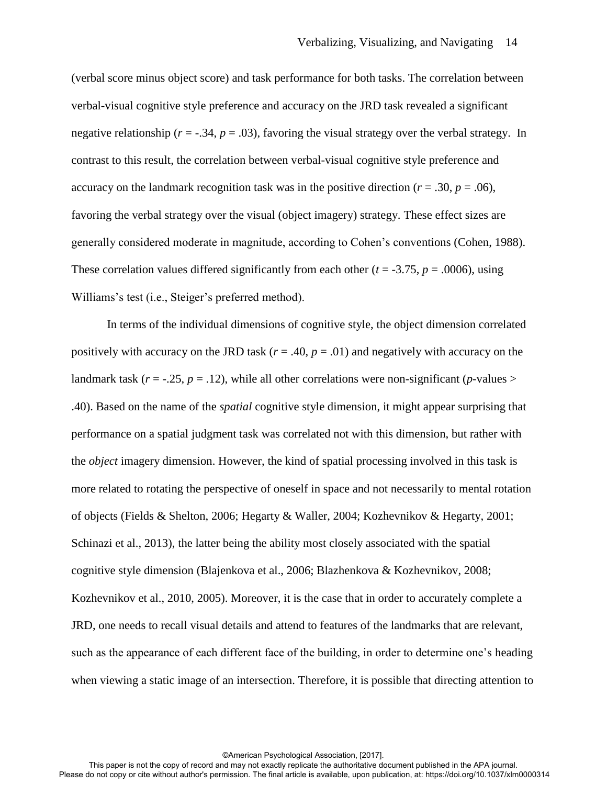(verbal score minus object score) and task performance for both tasks. The correlation between verbal-visual cognitive style preference and accuracy on the JRD task revealed a significant negative relationship ( $r = -.34$ ,  $p = .03$ ), favoring the visual strategy over the verbal strategy. In contrast to this result, the correlation between verbal-visual cognitive style preference and accuracy on the landmark recognition task was in the positive direction ( $r = .30$ ,  $p = .06$ ), favoring the verbal strategy over the visual (object imagery) strategy. These effect sizes are generally considered moderate in magnitude, according to Cohen's conventions (Cohen, 1988). These correlation values differed significantly from each other ( $t = -3.75$ ,  $p = .0006$ ), using Williams's test (i.e., Steiger's preferred method).

In terms of the individual dimensions of cognitive style, the object dimension correlated positively with accuracy on the JRD task ( $r = .40$ ,  $p = .01$ ) and negatively with accuracy on the landmark task  $(r = -.25, p = .12)$ , while all other correlations were non-significant (*p*-values > .40). Based on the name of the *spatial* cognitive style dimension, it might appear surprising that performance on a spatial judgment task was correlated not with this dimension, but rather with the *object* imagery dimension. However, the kind of spatial processing involved in this task is more related to rotating the perspective of oneself in space and not necessarily to mental rotation of objects (Fields & Shelton, 2006; Hegarty & Waller, 2004; Kozhevnikov & Hegarty, 2001; Schinazi et al., 2013), the latter being the ability most closely associated with the spatial cognitive style dimension (Blajenkova et al., 2006; Blazhenkova & Kozhevnikov, 2008; Kozhevnikov et al., 2010, 2005). Moreover, it is the case that in order to accurately complete a JRD, one needs to recall visual details and attend to features of the landmarks that are relevant, such as the appearance of each different face of the building, in order to determine one's heading when viewing a static image of an intersection. Therefore, it is possible that directing attention to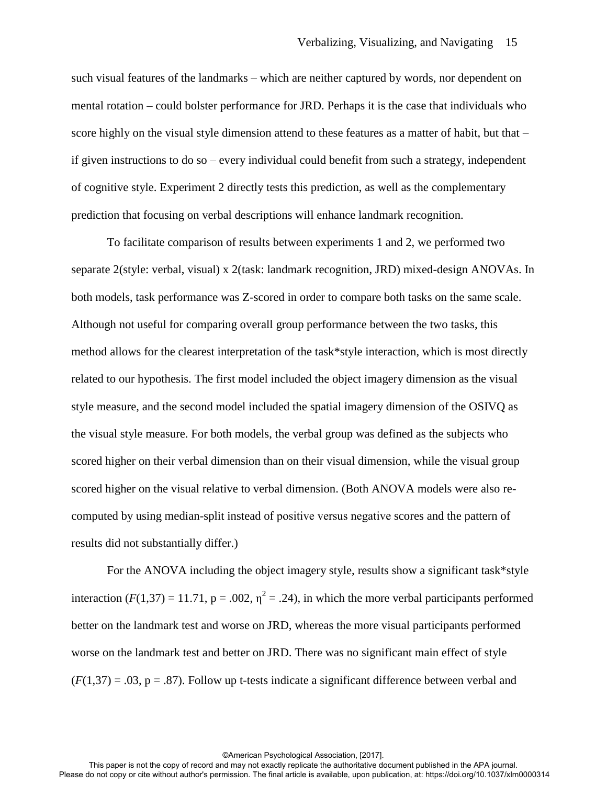such visual features of the landmarks – which are neither captured by words, nor dependent on mental rotation – could bolster performance for JRD. Perhaps it is the case that individuals who score highly on the visual style dimension attend to these features as a matter of habit, but that – if given instructions to do so – every individual could benefit from such a strategy, independent of cognitive style. Experiment 2 directly tests this prediction, as well as the complementary prediction that focusing on verbal descriptions will enhance landmark recognition.

To facilitate comparison of results between experiments 1 and 2, we performed two separate 2(style: verbal, visual) x 2(task: landmark recognition, JRD) mixed-design ANOVAs. In both models, task performance was Z-scored in order to compare both tasks on the same scale. Although not useful for comparing overall group performance between the two tasks, this method allows for the clearest interpretation of the task\*style interaction, which is most directly related to our hypothesis. The first model included the object imagery dimension as the visual style measure, and the second model included the spatial imagery dimension of the OSIVQ as the visual style measure. For both models, the verbal group was defined as the subjects who scored higher on their verbal dimension than on their visual dimension, while the visual group scored higher on the visual relative to verbal dimension. (Both ANOVA models were also recomputed by using median-split instead of positive versus negative scores and the pattern of results did not substantially differ.)

For the ANOVA including the object imagery style, results show a significant task\*style interaction ( $F(1,37) = 11.71$ ,  $p = .002$ ,  $\eta^2 = .24$ ), in which the more verbal participants performed better on the landmark test and worse on JRD, whereas the more visual participants performed worse on the landmark test and better on JRD. There was no significant main effect of style  $(F(1,37) = .03, p = .87)$ . Follow up t-tests indicate a significant difference between verbal and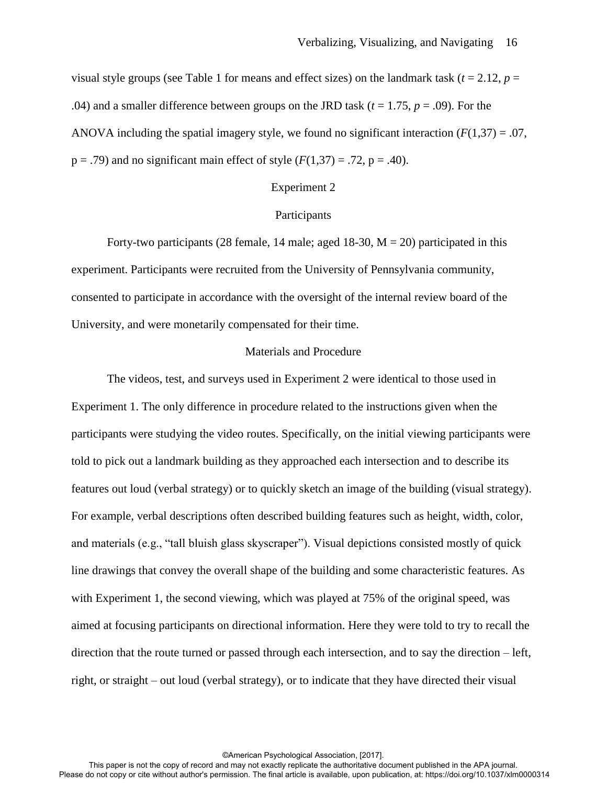visual style groups (see Table 1 for means and effect sizes) on the landmark task  $(t = 2.12, p =$ .04) and a smaller difference between groups on the JRD task ( $t = 1.75$ ,  $p = .09$ ). For the ANOVA including the spatial imagery style, we found no significant interaction  $(F(1,37) = .07$ ,  $p = .79$ ) and no significant main effect of style  $(F(1,37) = .72, p = .40)$ .

#### Experiment 2

## **Participants**

Forty-two participants (28 female, 14 male; aged  $18-30$ ,  $M = 20$ ) participated in this experiment. Participants were recruited from the University of Pennsylvania community, consented to participate in accordance with the oversight of the internal review board of the University, and were monetarily compensated for their time.

## Materials and Procedure

 The videos, test, and surveys used in Experiment 2 were identical to those used in Experiment 1. The only difference in procedure related to the instructions given when the participants were studying the video routes. Specifically, on the initial viewing participants were told to pick out a landmark building as they approached each intersection and to describe its features out loud (verbal strategy) or to quickly sketch an image of the building (visual strategy). For example, verbal descriptions often described building features such as height, width, color, and materials (e.g., "tall bluish glass skyscraper"). Visual depictions consisted mostly of quick line drawings that convey the overall shape of the building and some characteristic features. As with Experiment 1, the second viewing, which was played at 75% of the original speed, was aimed at focusing participants on directional information. Here they were told to try to recall the direction that the route turned or passed through each intersection, and to say the direction – left, right, or straight – out loud (verbal strategy), or to indicate that they have directed their visual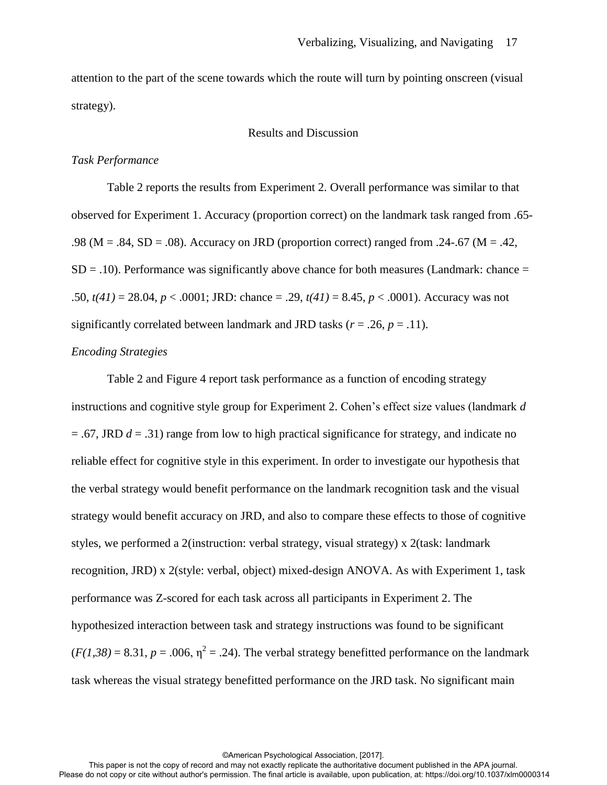attention to the part of the scene towards which the route will turn by pointing onscreen (visual strategy).

# Results and Discussion

## *Task Performance*

 Table 2 reports the results from Experiment 2. Overall performance was similar to that observed for Experiment 1. Accuracy (proportion correct) on the landmark task ranged from .65- .98 (M = .84, SD = .08). Accuracy on JRD (proportion correct) ranged from .24-.67 (M = .42,  $SD = .10$ ). Performance was significantly above chance for both measures (Landmark: chance  $=$ .50, *t(41)* = 28.04, *p* < .0001; JRD: chance = .29, *t(41)* = 8.45, *p* < .0001). Accuracy was not significantly correlated between landmark and JRD tasks ( $r = .26$ ,  $p = .11$ ).

# *Encoding Strategies*

 Table 2 and Figure 4 report task performance as a function of encoding strategy instructions and cognitive style group for Experiment 2. Cohen's effect size values (landmark *d*   $=$  .67, JRD  $d = .31$ ) range from low to high practical significance for strategy, and indicate no reliable effect for cognitive style in this experiment. In order to investigate our hypothesis that the verbal strategy would benefit performance on the landmark recognition task and the visual strategy would benefit accuracy on JRD, and also to compare these effects to those of cognitive styles, we performed a 2(instruction: verbal strategy, visual strategy) x 2(task: landmark recognition, JRD) x 2(style: verbal, object) mixed-design ANOVA. As with Experiment 1, task performance was Z-scored for each task across all participants in Experiment 2. The hypothesized interaction between task and strategy instructions was found to be significant  $(F(1,38) = 8.31, p = .006, \eta^2 = .24)$ . The verbal strategy benefitted performance on the landmark task whereas the visual strategy benefitted performance on the JRD task. No significant main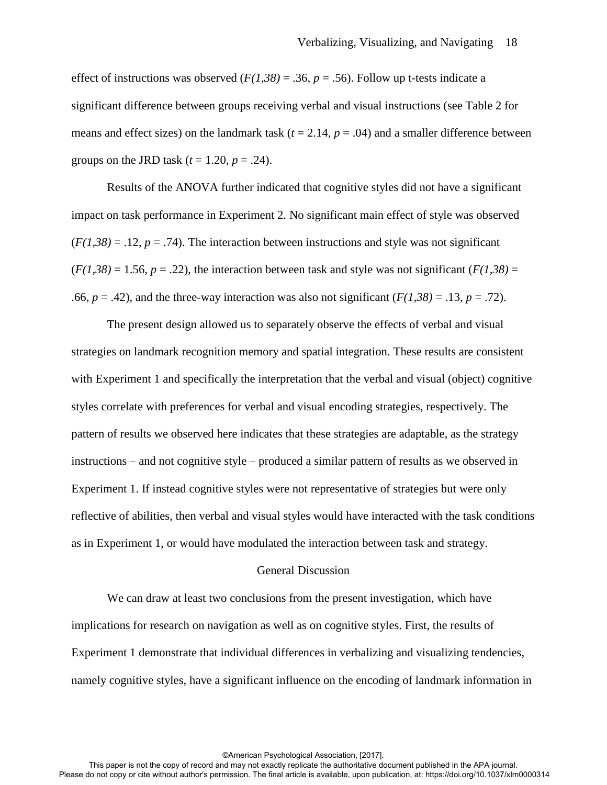effect of instructions was observed  $(F(1,38) = .36, p = .56)$ . Follow up t-tests indicate a significant difference between groups receiving verbal and visual instructions (see Table 2 for means and effect sizes) on the landmark task  $(t = 2.14, p = .04)$  and a smaller difference between groups on the JRD task  $(t = 1.20, p = .24)$ .

Results of the ANOVA further indicated that cognitive styles did not have a significant impact on task performance in Experiment 2. No significant main effect of style was observed  $(F(1,38) = .12, p = .74)$ . The interaction between instructions and style was not significant  $(F(1,38) = 1.56, p = .22)$ , the interaction between task and style was not significant  $(F(1,38)) =$ .66,  $p = .42$ ), and the three-way interaction was also not significant  $(F(1,38) = .13, p = .72)$ .

The present design allowed us to separately observe the effects of verbal and visual strategies on landmark recognition memory and spatial integration. These results are consistent with Experiment 1 and specifically the interpretation that the verbal and visual (object) cognitive styles correlate with preferences for verbal and visual encoding strategies, respectively. The pattern of results we observed here indicates that these strategies are adaptable, as the strategy instructions – and not cognitive style – produced a similar pattern of results as we observed in Experiment 1. If instead cognitive styles were not representative of strategies but were only reflective of abilities, then verbal and visual styles would have interacted with the task conditions as in Experiment 1, or would have modulated the interaction between task and strategy.

### General Discussion

 We can draw at least two conclusions from the present investigation, which have implications for research on navigation as well as on cognitive styles. First, the results of Experiment 1 demonstrate that individual differences in verbalizing and visualizing tendencies, namely cognitive styles, have a significant influence on the encoding of landmark information in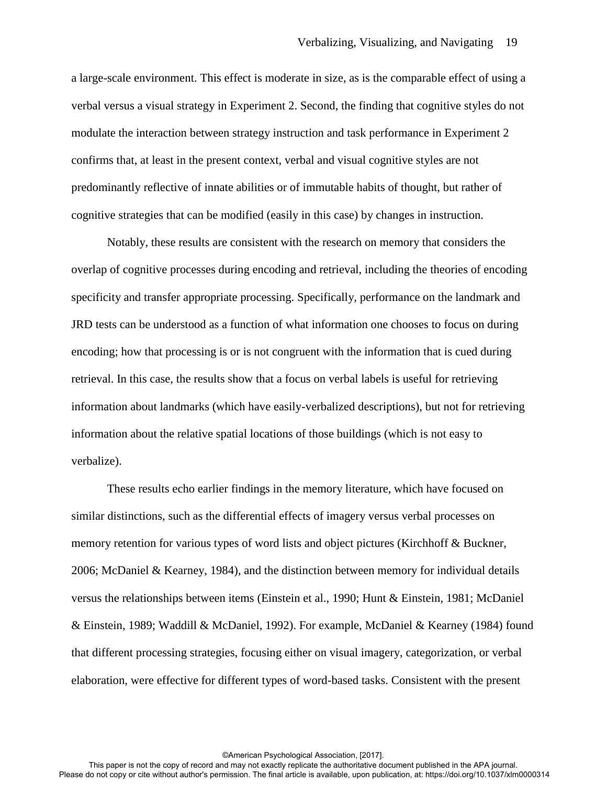a large-scale environment. This effect is moderate in size, as is the comparable effect of using a verbal versus a visual strategy in Experiment 2. Second, the finding that cognitive styles do not modulate the interaction between strategy instruction and task performance in Experiment 2 confirms that, at least in the present context, verbal and visual cognitive styles are not predominantly reflective of innate abilities or of immutable habits of thought, but rather of cognitive strategies that can be modified (easily in this case) by changes in instruction.

Notably, these results are consistent with the research on memory that considers the overlap of cognitive processes during encoding and retrieval, including the theories of encoding specificity and transfer appropriate processing. Specifically, performance on the landmark and JRD tests can be understood as a function of what information one chooses to focus on during encoding; how that processing is or is not congruent with the information that is cued during retrieval. In this case, the results show that a focus on verbal labels is useful for retrieving information about landmarks (which have easily-verbalized descriptions), but not for retrieving information about the relative spatial locations of those buildings (which is not easy to verbalize).

These results echo earlier findings in the memory literature, which have focused on similar distinctions, such as the differential effects of imagery versus verbal processes on memory retention for various types of word lists and object pictures (Kirchhoff & Buckner, 2006; McDaniel & Kearney, 1984), and the distinction between memory for individual details versus the relationships between items (Einstein et al., 1990; Hunt & Einstein, 1981; McDaniel & Einstein, 1989; Waddill & McDaniel, 1992). For example, McDaniel & Kearney (1984) found that different processing strategies, focusing either on visual imagery, categorization, or verbal elaboration, were effective for different types of word-based tasks. Consistent with the present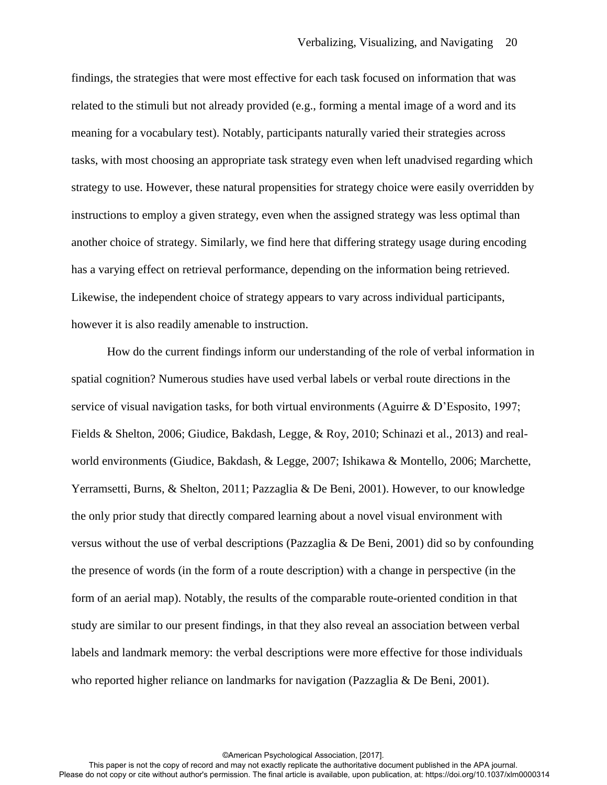findings, the strategies that were most effective for each task focused on information that was related to the stimuli but not already provided (e.g., forming a mental image of a word and its meaning for a vocabulary test). Notably, participants naturally varied their strategies across tasks, with most choosing an appropriate task strategy even when left unadvised regarding which strategy to use. However, these natural propensities for strategy choice were easily overridden by instructions to employ a given strategy, even when the assigned strategy was less optimal than another choice of strategy. Similarly, we find here that differing strategy usage during encoding has a varying effect on retrieval performance, depending on the information being retrieved. Likewise, the independent choice of strategy appears to vary across individual participants, however it is also readily amenable to instruction.

How do the current findings inform our understanding of the role of verbal information in spatial cognition? Numerous studies have used verbal labels or verbal route directions in the service of visual navigation tasks, for both virtual environments (Aguirre & D'Esposito, 1997; Fields & Shelton, 2006; Giudice, Bakdash, Legge, & Roy, 2010; Schinazi et al., 2013) and realworld environments (Giudice, Bakdash, & Legge, 2007; Ishikawa & Montello, 2006; Marchette, Yerramsetti, Burns, & Shelton, 2011; Pazzaglia & De Beni, 2001). However, to our knowledge the only prior study that directly compared learning about a novel visual environment with versus without the use of verbal descriptions (Pazzaglia & De Beni, 2001) did so by confounding the presence of words (in the form of a route description) with a change in perspective (in the form of an aerial map). Notably, the results of the comparable route-oriented condition in that study are similar to our present findings, in that they also reveal an association between verbal labels and landmark memory: the verbal descriptions were more effective for those individuals who reported higher reliance on landmarks for navigation (Pazzaglia & De Beni, 2001).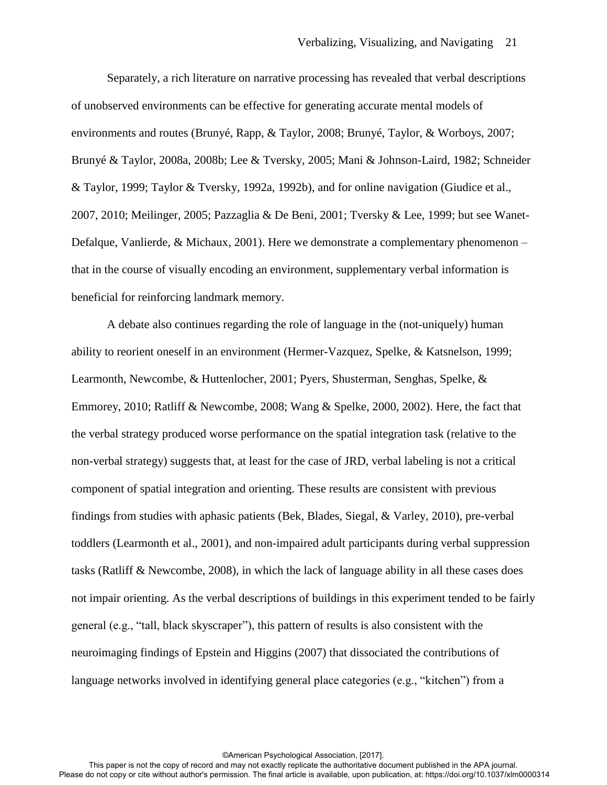Separately, a rich literature on narrative processing has revealed that verbal descriptions of unobserved environments can be effective for generating accurate mental models of environments and routes (Brunyé, Rapp, & Taylor, 2008; Brunyé, Taylor, & Worboys, 2007; Brunyé & Taylor, 2008a, 2008b; Lee & Tversky, 2005; Mani & Johnson-Laird, 1982; Schneider & Taylor, 1999; Taylor & Tversky, 1992a, 1992b), and for online navigation (Giudice et al., 2007, 2010; Meilinger, 2005; Pazzaglia & De Beni, 2001; Tversky & Lee, 1999; but see Wanet-Defalque, Vanlierde, & Michaux, 2001). Here we demonstrate a complementary phenomenon – that in the course of visually encoding an environment, supplementary verbal information is beneficial for reinforcing landmark memory.

A debate also continues regarding the role of language in the (not-uniquely) human ability to reorient oneself in an environment (Hermer-Vazquez, Spelke, & Katsnelson, 1999; Learmonth, Newcombe, & Huttenlocher, 2001; Pyers, Shusterman, Senghas, Spelke, & Emmorey, 2010; Ratliff & Newcombe, 2008; Wang & Spelke, 2000, 2002). Here, the fact that the verbal strategy produced worse performance on the spatial integration task (relative to the non-verbal strategy) suggests that, at least for the case of JRD, verbal labeling is not a critical component of spatial integration and orienting. These results are consistent with previous findings from studies with aphasic patients (Bek, Blades, Siegal, & Varley, 2010), pre-verbal toddlers (Learmonth et al., 2001), and non-impaired adult participants during verbal suppression tasks (Ratliff & Newcombe, 2008), in which the lack of language ability in all these cases does not impair orienting. As the verbal descriptions of buildings in this experiment tended to be fairly general (e.g., "tall, black skyscraper"), this pattern of results is also consistent with the neuroimaging findings of Epstein and Higgins (2007) that dissociated the contributions of language networks involved in identifying general place categories (e.g., "kitchen") from a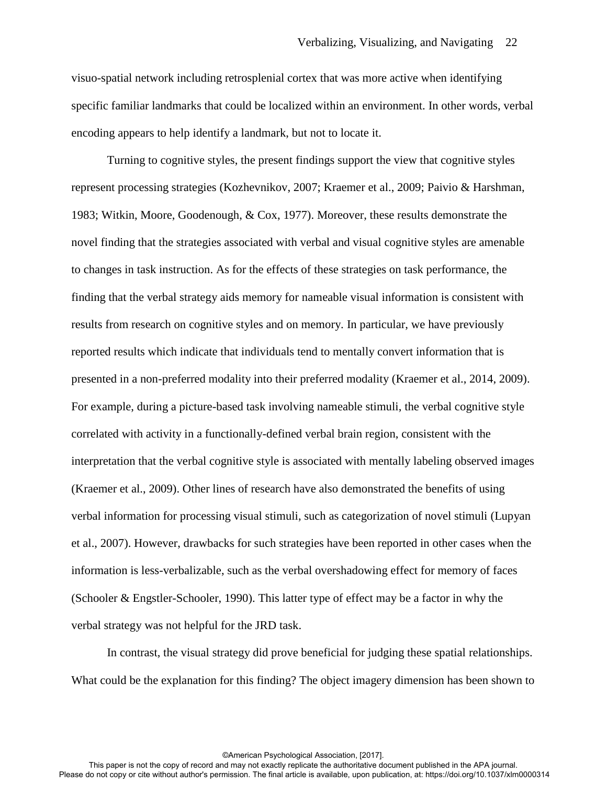visuo-spatial network including retrosplenial cortex that was more active when identifying specific familiar landmarks that could be localized within an environment. In other words, verbal encoding appears to help identify a landmark, but not to locate it.

Turning to cognitive styles, the present findings support the view that cognitive styles represent processing strategies (Kozhevnikov, 2007; Kraemer et al., 2009; Paivio & Harshman, 1983; Witkin, Moore, Goodenough, & Cox, 1977). Moreover, these results demonstrate the novel finding that the strategies associated with verbal and visual cognitive styles are amenable to changes in task instruction. As for the effects of these strategies on task performance, the finding that the verbal strategy aids memory for nameable visual information is consistent with results from research on cognitive styles and on memory. In particular, we have previously reported results which indicate that individuals tend to mentally convert information that is presented in a non-preferred modality into their preferred modality (Kraemer et al., 2014, 2009). For example, during a picture-based task involving nameable stimuli, the verbal cognitive style correlated with activity in a functionally-defined verbal brain region, consistent with the interpretation that the verbal cognitive style is associated with mentally labeling observed images (Kraemer et al., 2009). Other lines of research have also demonstrated the benefits of using verbal information for processing visual stimuli, such as categorization of novel stimuli (Lupyan et al., 2007). However, drawbacks for such strategies have been reported in other cases when the information is less-verbalizable, such as the verbal overshadowing effect for memory of faces (Schooler & Engstler-Schooler, 1990). This latter type of effect may be a factor in why the verbal strategy was not helpful for the JRD task.

 In contrast, the visual strategy did prove beneficial for judging these spatial relationships. What could be the explanation for this finding? The object imagery dimension has been shown to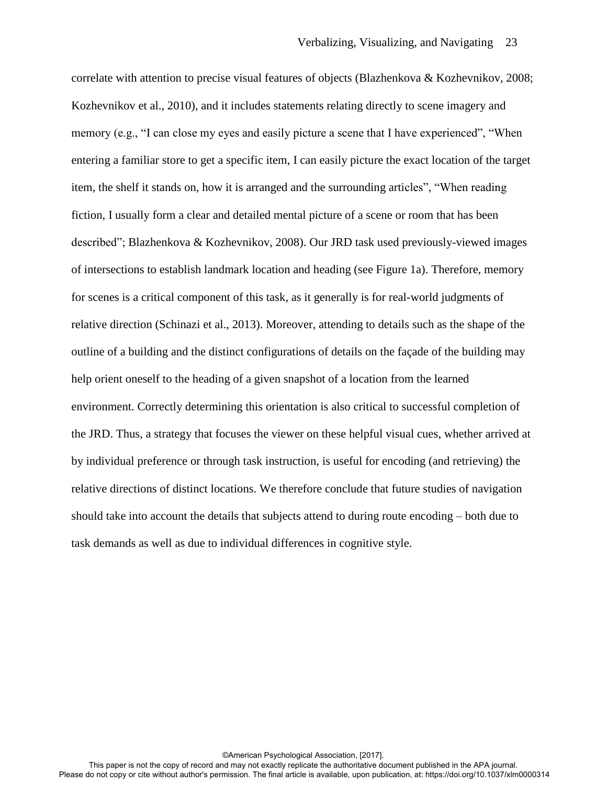correlate with attention to precise visual features of objects (Blazhenkova & Kozhevnikov, 2008; Kozhevnikov et al., 2010), and it includes statements relating directly to scene imagery and memory (e.g., "I can close my eyes and easily picture a scene that I have experienced", "When entering a familiar store to get a specific item, I can easily picture the exact location of the target item, the shelf it stands on, how it is arranged and the surrounding articles", "When reading fiction, I usually form a clear and detailed mental picture of a scene or room that has been described"; Blazhenkova & Kozhevnikov, 2008). Our JRD task used previously-viewed images of intersections to establish landmark location and heading (see Figure 1a). Therefore, memory for scenes is a critical component of this task, as it generally is for real-world judgments of relative direction (Schinazi et al., 2013). Moreover, attending to details such as the shape of the outline of a building and the distinct configurations of details on the façade of the building may help orient oneself to the heading of a given snapshot of a location from the learned environment. Correctly determining this orientation is also critical to successful completion of the JRD. Thus, a strategy that focuses the viewer on these helpful visual cues, whether arrived at by individual preference or through task instruction, is useful for encoding (and retrieving) the relative directions of distinct locations. We therefore conclude that future studies of navigation should take into account the details that subjects attend to during route encoding – both due to task demands as well as due to individual differences in cognitive style.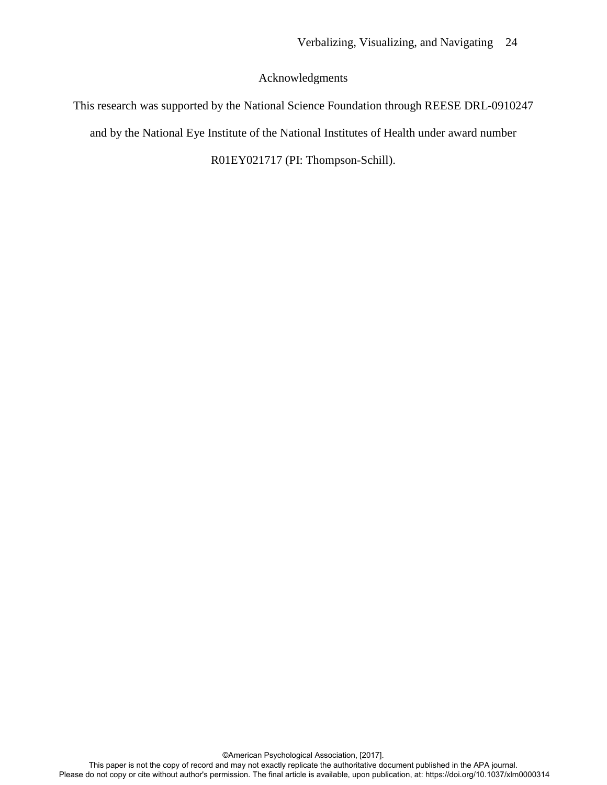# Acknowledgments

This research was supported by the National Science Foundation through REESE DRL-0910247 and by the National Eye Institute of the National Institutes of Health under award number R01EY021717 (PI: Thompson-Schill).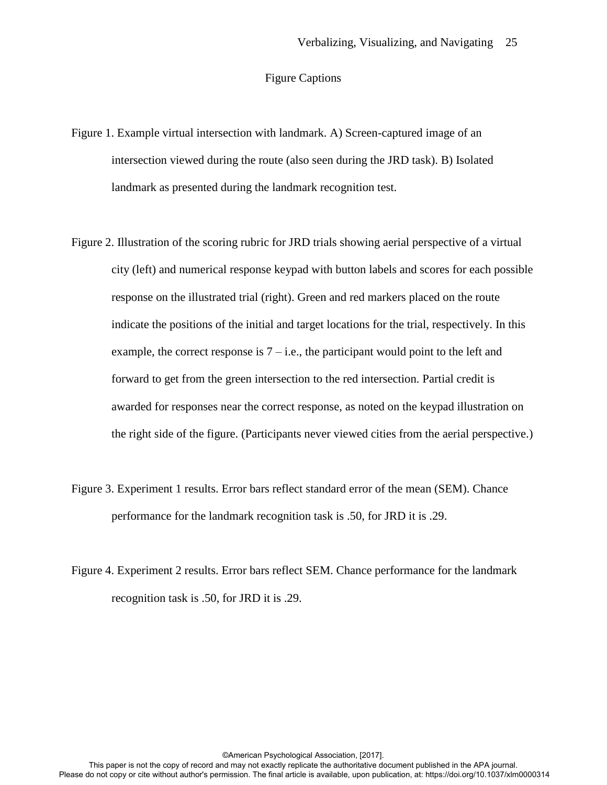# Figure Captions

- Figure 1. Example virtual intersection with landmark. A) Screen-captured image of an intersection viewed during the route (also seen during the JRD task). B) Isolated landmark as presented during the landmark recognition test.
- Figure 2. Illustration of the scoring rubric for JRD trials showing aerial perspective of a virtual city (left) and numerical response keypad with button labels and scores for each possible response on the illustrated trial (right). Green and red markers placed on the route indicate the positions of the initial and target locations for the trial, respectively. In this example, the correct response is  $7 - i.e.,$  the participant would point to the left and forward to get from the green intersection to the red intersection. Partial credit is awarded for responses near the correct response, as noted on the keypad illustration on the right side of the figure. (Participants never viewed cities from the aerial perspective.)
- Figure 3. Experiment 1 results. Error bars reflect standard error of the mean (SEM). Chance performance for the landmark recognition task is .50, for JRD it is .29.
- Figure 4. Experiment 2 results. Error bars reflect SEM. Chance performance for the landmark recognition task is .50, for JRD it is .29.

This paper is not the copy of record and may not exactly replicate the authoritative document published in the APA journal. Please do not copy or cite without author's permission. The final article is available, upon publication, at: https://doi.org/10.1037/xlm0000314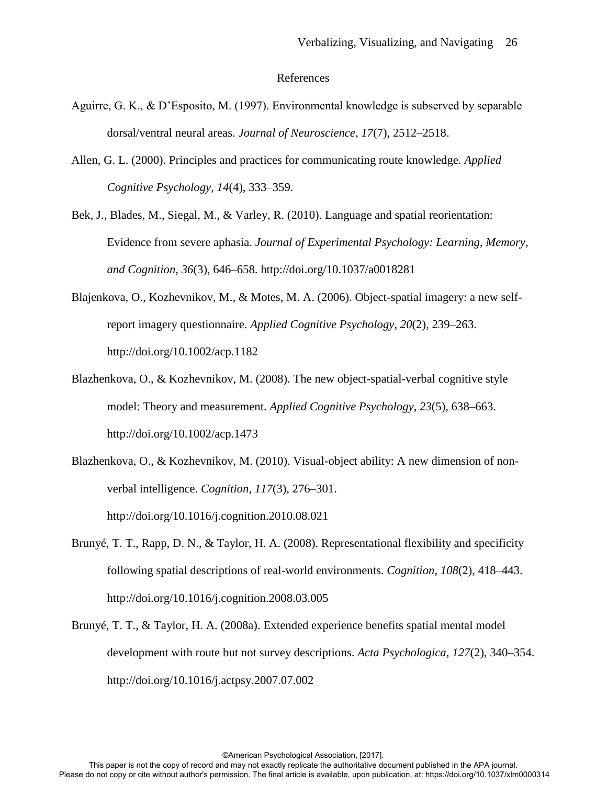## References

- Aguirre, G. K., & D'Esposito, M. (1997). Environmental knowledge is subserved by separable dorsal/ventral neural areas. *Journal of Neuroscience*, *17*(7), 2512–2518.
- Allen, G. L. (2000). Principles and practices for communicating route knowledge. *Applied Cognitive Psychology*, *14*(4), 333–359.
- Bek, J., Blades, M., Siegal, M., & Varley, R. (2010). Language and spatial reorientation: Evidence from severe aphasia. *Journal of Experimental Psychology: Learning, Memory, and Cognition*, *36*(3), 646–658. http://doi.org/10.1037/a0018281
- Blajenkova, O., Kozhevnikov, M., & Motes, M. A. (2006). Object-spatial imagery: a new selfreport imagery questionnaire. *Applied Cognitive Psychology*, *20*(2), 239–263. http://doi.org/10.1002/acp.1182
- Blazhenkova, O., & Kozhevnikov, M. (2008). The new object-spatial-verbal cognitive style model: Theory and measurement. *Applied Cognitive Psychology*, *23*(5), 638–663. http://doi.org/10.1002/acp.1473
- Blazhenkova, O., & Kozhevnikov, M. (2010). Visual-object ability: A new dimension of nonverbal intelligence. *Cognition*, *117*(3), 276–301. http://doi.org/10.1016/j.cognition.2010.08.021
- Brunyé, T. T., Rapp, D. N., & Taylor, H. A. (2008). Representational flexibility and specificity following spatial descriptions of real-world environments. *Cognition*, *108*(2), 418–443. http://doi.org/10.1016/j.cognition.2008.03.005
- Brunyé, T. T., & Taylor, H. A. (2008a). Extended experience benefits spatial mental model development with route but not survey descriptions. *Acta Psychologica*, *127*(2), 340–354. http://doi.org/10.1016/j.actpsy.2007.07.002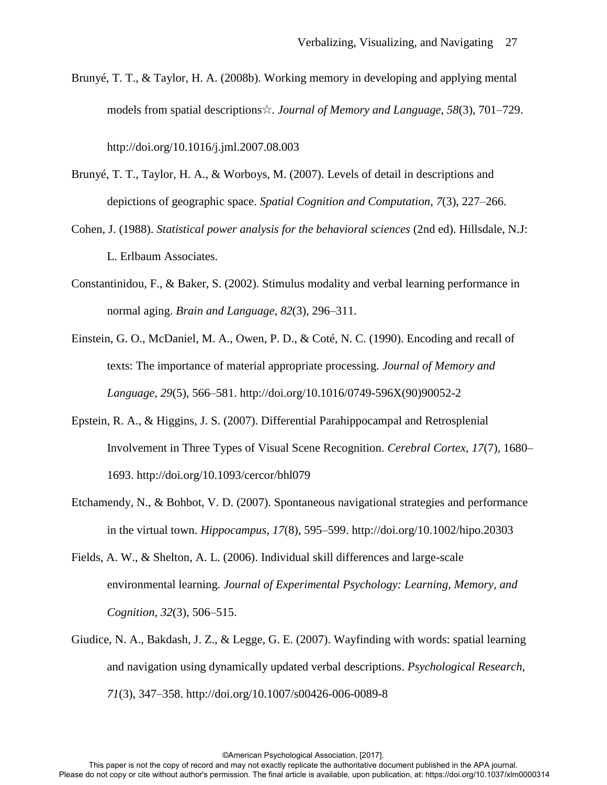Brunyé, T. T., & Taylor, H. A. (2008b). Working memory in developing and applying mental models from spatial descriptions☆. *Journal of Memory and Language*, *58*(3), 701–729.

http://doi.org/10.1016/j.jml.2007.08.003

- Brunyé, T. T., Taylor, H. A., & Worboys, M. (2007). Levels of detail in descriptions and depictions of geographic space. *Spatial Cognition and Computation*, *7*(3), 227–266.
- Cohen, J. (1988). *Statistical power analysis for the behavioral sciences* (2nd ed). Hillsdale, N.J: L. Erlbaum Associates.
- Constantinidou, F., & Baker, S. (2002). Stimulus modality and verbal learning performance in normal aging. *Brain and Language*, *82*(3), 296–311.
- Einstein, G. O., McDaniel, M. A., Owen, P. D., & Coté, N. C. (1990). Encoding and recall of texts: The importance of material appropriate processing. *Journal of Memory and Language*, *29*(5), 566–581. http://doi.org/10.1016/0749-596X(90)90052-2
- Epstein, R. A., & Higgins, J. S. (2007). Differential Parahippocampal and Retrosplenial Involvement in Three Types of Visual Scene Recognition. *Cerebral Cortex*, *17*(7), 1680– 1693. http://doi.org/10.1093/cercor/bhl079
- Etchamendy, N., & Bohbot, V. D. (2007). Spontaneous navigational strategies and performance in the virtual town. *Hippocampus*, *17*(8), 595–599. http://doi.org/10.1002/hipo.20303
- Fields, A. W., & Shelton, A. L. (2006). Individual skill differences and large-scale environmental learning. *Journal of Experimental Psychology: Learning, Memory, and Cognition*, *32*(3), 506–515.
- Giudice, N. A., Bakdash, J. Z., & Legge, G. E. (2007). Wayfinding with words: spatial learning and navigation using dynamically updated verbal descriptions. *Psychological Research*, *71*(3), 347–358. http://doi.org/10.1007/s00426-006-0089-8

This paper is not the copy of record and may not exactly replicate the authoritative document published in the APA journal. Please do not copy or cite without author's permission. The final article is available, upon publication, at: https://doi.org/10.1037/xlm0000314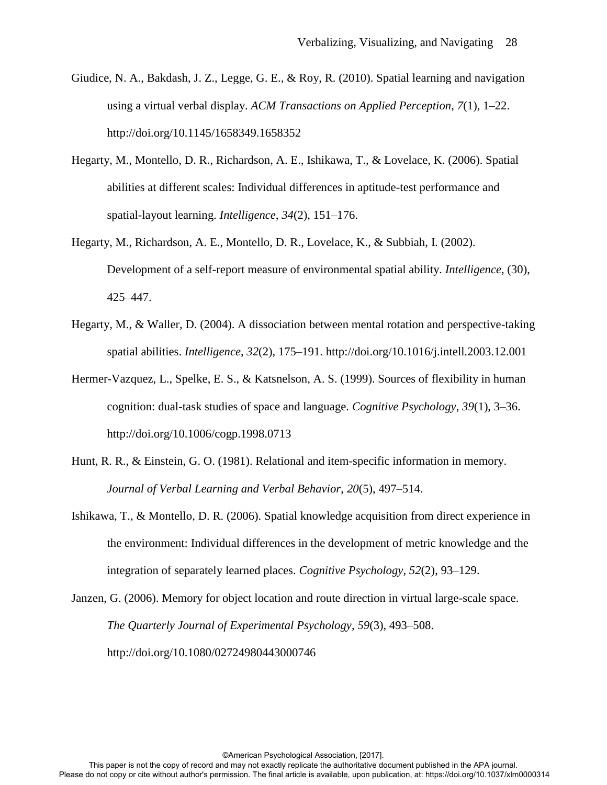- Giudice, N. A., Bakdash, J. Z., Legge, G. E., & Roy, R. (2010). Spatial learning and navigation using a virtual verbal display. *ACM Transactions on Applied Perception*, *7*(1), 1–22. http://doi.org/10.1145/1658349.1658352
- Hegarty, M., Montello, D. R., Richardson, A. E., Ishikawa, T., & Lovelace, K. (2006). Spatial abilities at different scales: Individual differences in aptitude-test performance and spatial-layout learning. *Intelligence*, *34*(2), 151–176.
- Hegarty, M., Richardson, A. E., Montello, D. R., Lovelace, K., & Subbiah, I. (2002). Development of a self-report measure of environmental spatial ability. *Intelligence*, (30), 425–447.
- Hegarty, M., & Waller, D. (2004). A dissociation between mental rotation and perspective-taking spatial abilities. *Intelligence*, *32*(2), 175–191. http://doi.org/10.1016/j.intell.2003.12.001
- Hermer-Vazquez, L., Spelke, E. S., & Katsnelson, A. S. (1999). Sources of flexibility in human cognition: dual-task studies of space and language. *Cognitive Psychology*, *39*(1), 3–36. http://doi.org/10.1006/cogp.1998.0713
- Hunt, R. R., & Einstein, G. O. (1981). Relational and item-specific information in memory. *Journal of Verbal Learning and Verbal Behavior*, *20*(5), 497–514.
- Ishikawa, T., & Montello, D. R. (2006). Spatial knowledge acquisition from direct experience in the environment: Individual differences in the development of metric knowledge and the integration of separately learned places. *Cognitive Psychology*, *52*(2), 93–129.
- Janzen, G. (2006). Memory for object location and route direction in virtual large-scale space. *The Quarterly Journal of Experimental Psychology*, *59*(3), 493–508. http://doi.org/10.1080/02724980443000746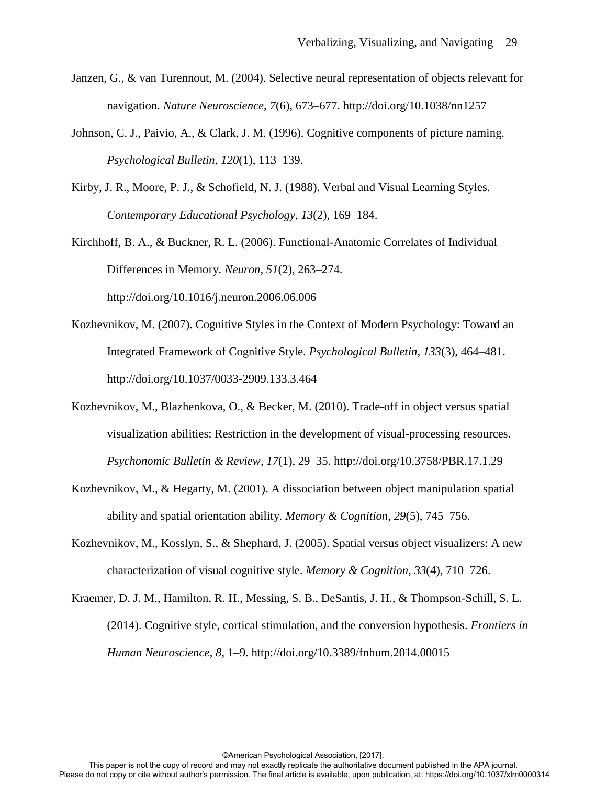- Janzen, G., & van Turennout, M. (2004). Selective neural representation of objects relevant for navigation. *Nature Neuroscience*, *7*(6), 673–677. http://doi.org/10.1038/nn1257
- Johnson, C. J., Paivio, A., & Clark, J. M. (1996). Cognitive components of picture naming. *Psychological Bulletin*, *120*(1), 113–139.
- Kirby, J. R., Moore, P. J., & Schofield, N. J. (1988). Verbal and Visual Learning Styles. *Contemporary Educational Psychology*, *13*(2), 169–184.
- Kirchhoff, B. A., & Buckner, R. L. (2006). Functional-Anatomic Correlates of Individual Differences in Memory. *Neuron*, *51*(2), 263–274. http://doi.org/10.1016/j.neuron.2006.06.006
- Kozhevnikov, M. (2007). Cognitive Styles in the Context of Modern Psychology: Toward an Integrated Framework of Cognitive Style. *Psychological Bulletin*, *133*(3), 464–481. http://doi.org/10.1037/0033-2909.133.3.464
- Kozhevnikov, M., Blazhenkova, O., & Becker, M. (2010). Trade-off in object versus spatial visualization abilities: Restriction in the development of visual-processing resources. *Psychonomic Bulletin & Review*, *17*(1), 29–35. http://doi.org/10.3758/PBR.17.1.29
- Kozhevnikov, M., & Hegarty, M. (2001). A dissociation between object manipulation spatial ability and spatial orientation ability. *Memory & Cognition*, *29*(5), 745–756.
- Kozhevnikov, M., Kosslyn, S., & Shephard, J. (2005). Spatial versus object visualizers: A new characterization of visual cognitive style. *Memory & Cognition*, *33*(4), 710–726.
- Kraemer, D. J. M., Hamilton, R. H., Messing, S. B., DeSantis, J. H., & Thompson-Schill, S. L. (2014). Cognitive style, cortical stimulation, and the conversion hypothesis. *Frontiers in Human Neuroscience*, *8*, 1–9. http://doi.org/10.3389/fnhum.2014.00015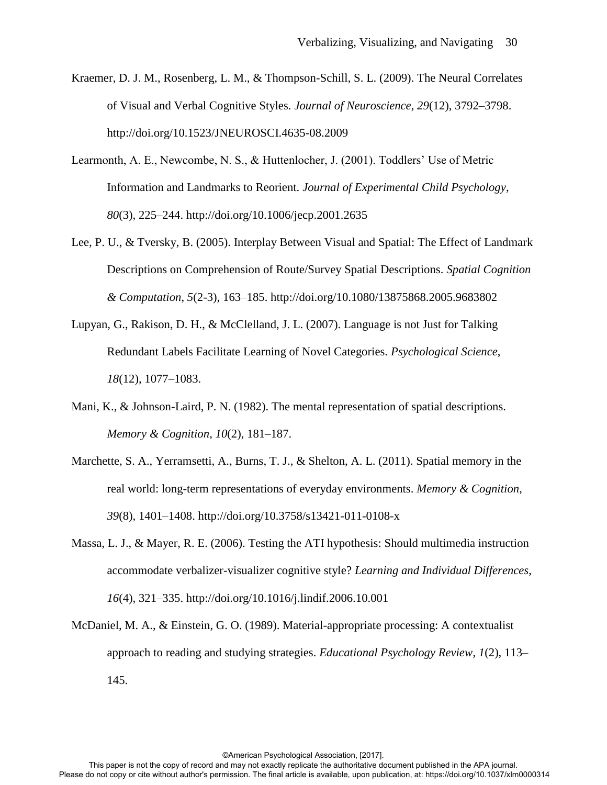- Kraemer, D. J. M., Rosenberg, L. M., & Thompson-Schill, S. L. (2009). The Neural Correlates of Visual and Verbal Cognitive Styles. *Journal of Neuroscience*, *29*(12), 3792–3798. http://doi.org/10.1523/JNEUROSCI.4635-08.2009
- Learmonth, A. E., Newcombe, N. S., & Huttenlocher, J. (2001). Toddlers' Use of Metric Information and Landmarks to Reorient. *Journal of Experimental Child Psychology*, *80*(3), 225–244. http://doi.org/10.1006/jecp.2001.2635
- Lee, P. U., & Tversky, B. (2005). Interplay Between Visual and Spatial: The Effect of Landmark Descriptions on Comprehension of Route/Survey Spatial Descriptions. *Spatial Cognition & Computation*, *5*(2-3), 163–185. http://doi.org/10.1080/13875868.2005.9683802
- Lupyan, G., Rakison, D. H., & McClelland, J. L. (2007). Language is not Just for Talking Redundant Labels Facilitate Learning of Novel Categories. *Psychological Science*, *18*(12), 1077–1083.
- Mani, K., & Johnson-Laird, P. N. (1982). The mental representation of spatial descriptions. *Memory & Cognition*, *10*(2), 181–187.
- Marchette, S. A., Yerramsetti, A., Burns, T. J., & Shelton, A. L. (2011). Spatial memory in the real world: long-term representations of everyday environments. *Memory & Cognition*, *39*(8), 1401–1408. http://doi.org/10.3758/s13421-011-0108-x
- Massa, L. J., & Mayer, R. E. (2006). Testing the ATI hypothesis: Should multimedia instruction accommodate verbalizer-visualizer cognitive style? *Learning and Individual Differences*, *16*(4), 321–335. http://doi.org/10.1016/j.lindif.2006.10.001
- McDaniel, M. A., & Einstein, G. O. (1989). Material-appropriate processing: A contextualist approach to reading and studying strategies. *Educational Psychology Review*, *1*(2), 113– 145.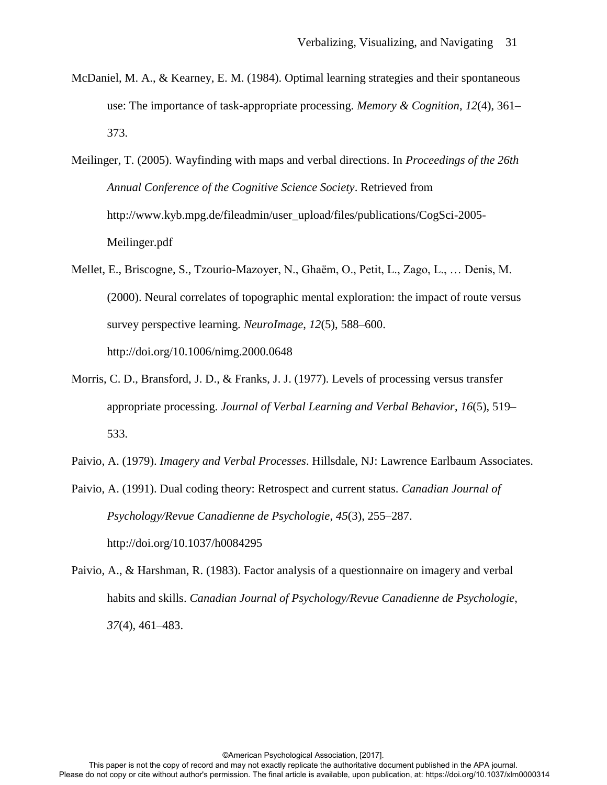- McDaniel, M. A., & Kearney, E. M. (1984). Optimal learning strategies and their spontaneous use: The importance of task-appropriate processing. *Memory & Cognition*, *12*(4), 361– 373.
- Meilinger, T. (2005). Wayfinding with maps and verbal directions. In *Proceedings of the 26th Annual Conference of the Cognitive Science Society*. Retrieved from http://www.kyb.mpg.de/fileadmin/user\_upload/files/publications/CogSci-2005- Meilinger.pdf
- Mellet, E., Briscogne, S., Tzourio-Mazoyer, N., Ghaëm, O., Petit, L., Zago, L., … Denis, M. (2000). Neural correlates of topographic mental exploration: the impact of route versus survey perspective learning. *NeuroImage*, *12*(5), 588–600. http://doi.org/10.1006/nimg.2000.0648
- Morris, C. D., Bransford, J. D., & Franks, J. J. (1977). Levels of processing versus transfer appropriate processing. *Journal of Verbal Learning and Verbal Behavior*, *16*(5), 519– 533.
- Paivio, A. (1979). *Imagery and Verbal Processes*. Hillsdale, NJ: Lawrence Earlbaum Associates.
- Paivio, A. (1991). Dual coding theory: Retrospect and current status. *Canadian Journal of Psychology/Revue Canadienne de Psychologie*, *45*(3), 255–287. http://doi.org/10.1037/h0084295
- Paivio, A., & Harshman, R. (1983). Factor analysis of a questionnaire on imagery and verbal habits and skills. *Canadian Journal of Psychology/Revue Canadienne de Psychologie*, *37*(4), 461–483.

This paper is not the copy of record and may not exactly replicate the authoritative document published in the APA journal. Please do not copy or cite without author's permission. The final article is available, upon publication, at: https://doi.org/10.1037/xlm0000314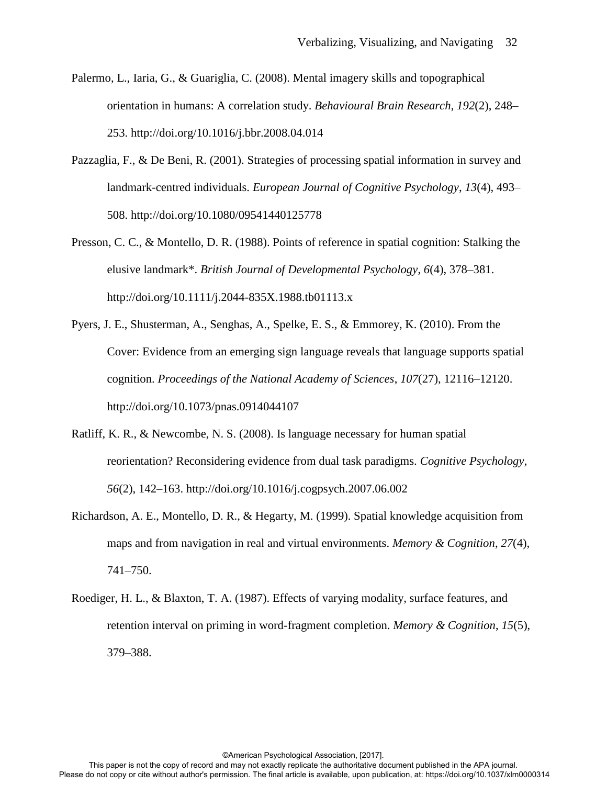- Palermo, L., Iaria, G., & Guariglia, C. (2008). Mental imagery skills and topographical orientation in humans: A correlation study. *Behavioural Brain Research*, *192*(2), 248– 253. http://doi.org/10.1016/j.bbr.2008.04.014
- Pazzaglia, F., & De Beni, R. (2001). Strategies of processing spatial information in survey and landmark-centred individuals. *European Journal of Cognitive Psychology*, *13*(4), 493– 508. http://doi.org/10.1080/09541440125778
- Presson, C. C., & Montello, D. R. (1988). Points of reference in spatial cognition: Stalking the elusive landmark\*. *British Journal of Developmental Psychology*, *6*(4), 378–381. http://doi.org/10.1111/j.2044-835X.1988.tb01113.x
- Pyers, J. E., Shusterman, A., Senghas, A., Spelke, E. S., & Emmorey, K. (2010). From the Cover: Evidence from an emerging sign language reveals that language supports spatial cognition. *Proceedings of the National Academy of Sciences*, *107*(27), 12116–12120. http://doi.org/10.1073/pnas.0914044107
- Ratliff, K. R., & Newcombe, N. S. (2008). Is language necessary for human spatial reorientation? Reconsidering evidence from dual task paradigms. *Cognitive Psychology*, *56*(2), 142–163. http://doi.org/10.1016/j.cogpsych.2007.06.002
- Richardson, A. E., Montello, D. R., & Hegarty, M. (1999). Spatial knowledge acquisition from maps and from navigation in real and virtual environments. *Memory & Cognition*, *27*(4), 741–750.
- Roediger, H. L., & Blaxton, T. A. (1987). Effects of varying modality, surface features, and retention interval on priming in word-fragment completion. *Memory & Cognition*, *15*(5), 379–388.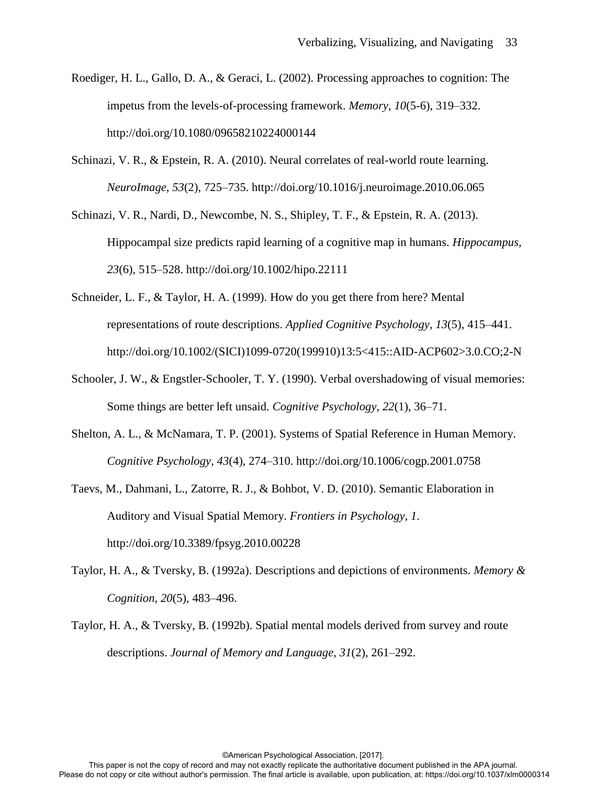- Roediger, H. L., Gallo, D. A., & Geraci, L. (2002). Processing approaches to cognition: The impetus from the levels-of-processing framework. *Memory*, *10*(5-6), 319–332. http://doi.org/10.1080/09658210224000144
- Schinazi, V. R., & Epstein, R. A. (2010). Neural correlates of real-world route learning. *NeuroImage*, *53*(2), 725–735. http://doi.org/10.1016/j.neuroimage.2010.06.065
- Schinazi, V. R., Nardi, D., Newcombe, N. S., Shipley, T. F., & Epstein, R. A. (2013). Hippocampal size predicts rapid learning of a cognitive map in humans. *Hippocampus*, *23*(6), 515–528. http://doi.org/10.1002/hipo.22111
- Schneider, L. F., & Taylor, H. A. (1999). How do you get there from here? Mental representations of route descriptions. *Applied Cognitive Psychology*, *13*(5), 415–441. http://doi.org/10.1002/(SICI)1099-0720(199910)13:5<415::AID-ACP602>3.0.CO;2-N
- Schooler, J. W., & Engstler-Schooler, T. Y. (1990). Verbal overshadowing of visual memories: Some things are better left unsaid. *Cognitive Psychology*, *22*(1), 36–71.
- Shelton, A. L., & McNamara, T. P. (2001). Systems of Spatial Reference in Human Memory. *Cognitive Psychology*, *43*(4), 274–310. http://doi.org/10.1006/cogp.2001.0758
- Taevs, M., Dahmani, L., Zatorre, R. J., & Bohbot, V. D. (2010). Semantic Elaboration in Auditory and Visual Spatial Memory. *Frontiers in Psychology*, *1*. http://doi.org/10.3389/fpsyg.2010.00228
- Taylor, H. A., & Tversky, B. (1992a). Descriptions and depictions of environments. *Memory & Cognition*, *20*(5), 483–496.
- Taylor, H. A., & Tversky, B. (1992b). Spatial mental models derived from survey and route descriptions. *Journal of Memory and Language*, *31*(2), 261–292.